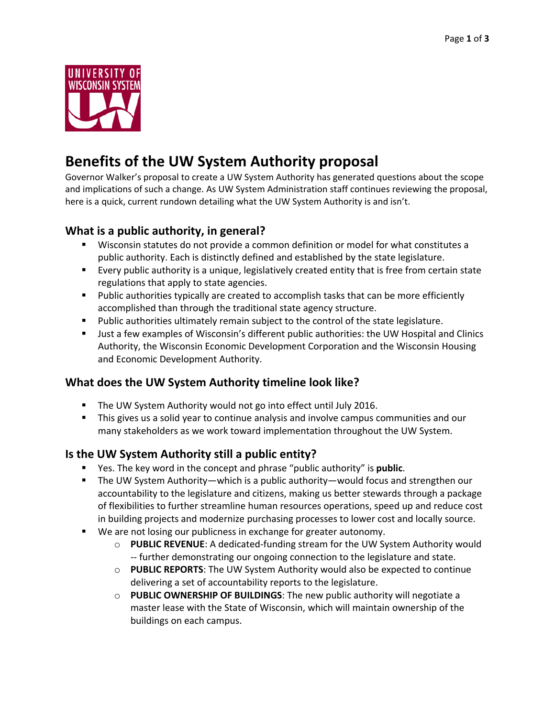

# **Benefits of the UW System Authority proposal**

Governor Walker's proposal to create a UW System Authority has generated questions about the scope and implications of such a change. As UW System Administration staff continues reviewing the proposal, here is a quick, current rundown detailing what the UW System Authority is and isn't.

## **What is a public authority, in general?**

- Wisconsin statutes do not provide a common definition or model for what constitutes a public authority. Each is distinctly defined and established by the state legislature.
- Every public authority is a unique, legislatively created entity that is free from certain state regulations that apply to state agencies.
- **Public authorities typically are created to accomplish tasks that can be more efficiently** accomplished than through the traditional state agency structure.
- **Public authorities ultimately remain subject to the control of the state legislature.**
- Just a few examples of Wisconsin's different public authorities: the UW Hospital and Clinics Authority, the Wisconsin Economic Development Corporation and the Wisconsin Housing and Economic Development Authority.

## **What does the UW System Authority timeline look like?**

- **The UW System Authority would not go into effect until July 2016.**
- **This gives us a solid year to continue analysis and involve campus communities and our** many stakeholders as we work toward implementation throughout the UW System.

## **Is the UW System Authority still a public entity?**

- Yes. The key word in the concept and phrase "public authority" is **public**.
- The UW System Authority—which is a public authority—would focus and strengthen our accountability to the legislature and citizens, making us better stewards through a package of flexibilities to further streamline human resources operations, speed up and reduce cost in building projects and modernize purchasing processes to lower cost and locally source.
- We are not losing our publicness in exchange for greater autonomy.
	- o **PUBLIC REVENUE**: A dedicated-funding stream for the UW System Authority would -- further demonstrating our ongoing connection to the legislature and state.
	- o **PUBLIC REPORTS**: The UW System Authority would also be expected to continue delivering a set of accountability reports to the legislature.
	- o **PUBLIC OWNERSHIP OF BUILDINGS**: The new public authority will negotiate a master lease with the State of Wisconsin, which will maintain ownership of the buildings on each campus.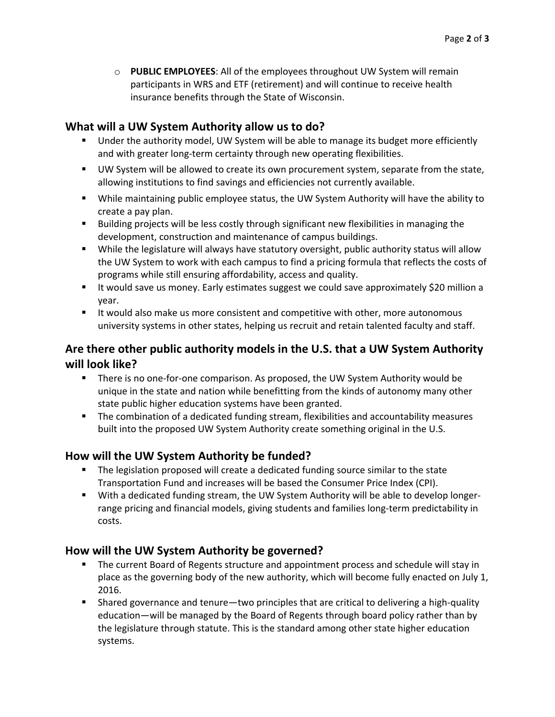o **PUBLIC EMPLOYEES**: All of the employees throughout UW System will remain participants in WRS and ETF (retirement) and will continue to receive health insurance benefits through the State of Wisconsin.

### **What will a UW System Authority allow us to do?**

- Under the authority model, UW System will be able to manage its budget more efficiently and with greater long-term certainty through new operating flexibilities.
- UW System will be allowed to create its own procurement system, separate from the state, allowing institutions to find savings and efficiencies not currently available.
- While maintaining public employee status, the UW System Authority will have the ability to create a pay plan.
- **Building projects will be less costly through significant new flexibilities in managing the** development, construction and maintenance of campus buildings.
- While the legislature will always have statutory oversight, public authority status will allow the UW System to work with each campus to find a pricing formula that reflects the costs of programs while still ensuring affordability, access and quality.
- It would save us money. Early estimates suggest we could save approximately \$20 million a year.
- **If would also make us more consistent and competitive with other, more autonomous** university systems in other states, helping us recruit and retain talented faculty and staff.

# **Are there other public authority models in the U.S. that a UW System Authority will look like?**

- **There is no one-for-one comparison. As proposed, the UW System Authority would be** unique in the state and nation while benefitting from the kinds of autonomy many other state public higher education systems have been granted.
- **The combination of a dedicated funding stream, flexibilities and accountability measures** built into the proposed UW System Authority create something original in the U.S.

## **How will the UW System Authority be funded?**

- The legislation proposed will create a dedicated funding source similar to the state Transportation Fund and increases will be based the Consumer Price Index (CPI).
- With a dedicated funding stream, the UW System Authority will be able to develop longerrange pricing and financial models, giving students and families long-term predictability in costs.

#### **How will the UW System Authority be governed?**

- The current Board of Regents structure and appointment process and schedule will stay in place as the governing body of the new authority, which will become fully enacted on July 1, 2016.
- Shared governance and tenure—two principles that are critical to delivering a high-quality education—will be managed by the Board of Regents through board policy rather than by the legislature through statute. This is the standard among other state higher education systems.